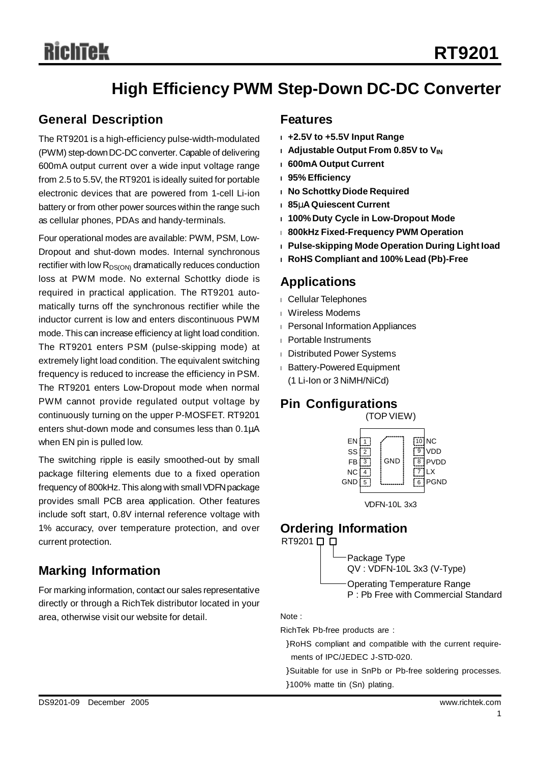# **High Efficiency PWM Step-Down DC-DC Converter**

# **General Description**

The RT9201 is a high-efficiency pulse-width-modulated (PWM) step-downDC-DC converter. Capable of delivering 600mA output current over a wide input voltage range from 2.5 to 5.5V, the RT9201 is ideally suited for portable electronic devices that are powered from 1-cell Li-ion battery or from other power sources within the range such as cellular phones, PDAs and handy-terminals.

Four operational modes are available: PWM, PSM, Low-Dropout and shut-down modes. Internal synchronous rectifier with low  $R_{DS(ON)}$  dramatically reduces conduction loss at PWM mode. No external Schottky diode is required in practical application. The RT9201 automatically turns off the synchronous rectifier while the inductor current is low and enters discontinuous PWM mode. This can increase efficiency at light load condition. The RT9201 enters PSM (pulse-skipping mode) at extremely light load condition. The equivalent switching frequency is reduced to increase the efficiency in PSM. The RT9201 enters Low-Dropout mode when normal PWM cannot provide regulated output voltage by continuously turning on the upper P-MOSFET. RT9201 enters shut-down mode and consumes less than 0.1μA when EN pin is pulled low.

The switching ripple is easily smoothed-out by small package filtering elements due to a fixed operation frequency of 800kHz. This along with small VDFN package provides small PCB area application. Other features include soft start, 0.8V internal reference voltage with 1% accuracy, over temperature protection, and over current protection.

# **Marking Information**

For marking information, contact our sales representative directly or through a RichTek distributor located in your area, otherwise visit our website for detail. Note :

# **Features**

- **<sup>l</sup> +2.5V to +5.5V Input Range**
- **<sup>l</sup> Adjustable Output From 0.85V to VIN**
- **<sup>l</sup> 600mA Output Current**
- **<sup>l</sup> 95% Efficiency**
- **<sup>l</sup> No Schottky Diode Required**
- **<sup>l</sup> 85mAQuiescent Current**
- **<sup>l</sup> 100%Duty Cycle in Low-Dropout Mode**
- <sup>l</sup> **800kHz Fixed-Frequency PWM Operation**
- **<sup>l</sup> Pulse-skipping Mode Operation During Light Ioad**
- **<sup>l</sup> RoHS Compliant and 100% Lead (Pb)-Free**

# **Applications**

- <sup>l</sup> Cellular Telephones
- <sup>l</sup> Wireless Modems
- <sup>l</sup> Personal InformationAppliances
- <sup>l</sup> Portable Instruments
- <sup>l</sup> Distributed Power Systems
- <sup>l</sup> Battery-Powered Equipment (1 Li-Ion or 3 NiMH/NiCd)

# **Pin Configurations**

(TOPVIEW)



VDFN-10L 3x3

# **Ordering Information**

RT9201 **D** 

Package Type QV : VDFN-10L 3x3 (V-Type)

Operating Temperature Range P : Pb Free with Commercial Standard

RichTek Pb-free products are :

}RoHS compliant and compatible with the current requirements of IPC/JEDEC J-STD-020.

}Suitable for use in SnPb or Pb-free soldering processes. }100% matte tin (Sn) plating.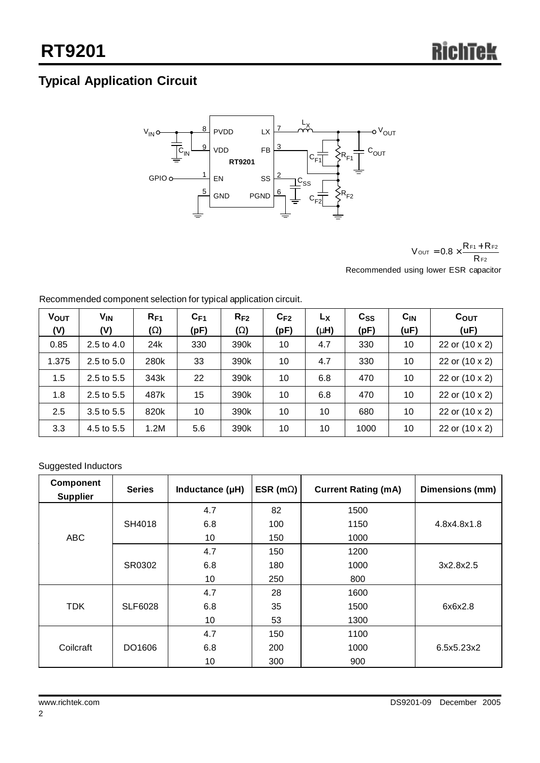# **Typical Application Circuit**



F2  $\text{out} = 0.8 \times \frac{\text{Rf1} + \text{Rf2}}{\text{Rf2}}$  $V_{\text{OUT}} = 0.8 \times \frac{R_{F1} + R}{R}$ 

Recommended using lower ESR capacitor

| <b>VOUT</b><br>(V) | <b>V<sub>IN</sub></b><br>(V) | $R_{F1}$<br>(W) | $C_{F1}$<br>(pF) | $R_{F2}$<br>(W) | $C_{F2}$<br>(pF) | Lχ<br>(Hm) | $c_{ss}$<br>(pF) | $C_{IN}$<br>(uF) | $C_{OUT}$<br>(UF) |
|--------------------|------------------------------|-----------------|------------------|-----------------|------------------|------------|------------------|------------------|-------------------|
| 0.85               | $2.5 \text{ to } 4.0$        | 24k             | 330              | 390k            | 10               | 4.7        | 330              | 10               | 22 or (10 x 2)    |
| 1.375              | 2.5 to 5.0                   | 280k            | 33               | 390k            | 10               | 4.7        | 330              | 10               | 22 or (10 x 2)    |
| 1.5                | 2.5 to 5.5                   | 343k            | 22               | 390k            | 10               | 6.8        | 470              | 10               | 22 or (10 x 2)    |
| 1.8                | 2.5 to 5.5                   | 487k            | 15               | 390k            | 10               | 6.8        | 470              | 10               | 22 or (10 x 2)    |
| 2.5                | 3.5 to 5.5                   | 820k            | 10               | 390k            | 10               | 10         | 680              | 10               | 22 or (10 x 2)    |
| 3.3                | 4.5 to 5.5                   | 1.2M            | 5.6              | 390k            | 10               | 10         | 1000             | 10               | 22 or (10 x 2)    |

Recommended component selection for typical application circuit.

## Suggested Inductors

| <b>Component</b><br><b>Supplier</b> | <b>Series</b>  | Inductance (µH) | ESR (mW) | <b>Current Rating (mA)</b> | Dimensions (mm) |
|-------------------------------------|----------------|-----------------|----------|----------------------------|-----------------|
|                                     |                | 4.7             | 82       | 1500                       |                 |
|                                     | SH4018         | 6.8             | 100      | 1150                       | 4.8x4.8x1.8     |
| <b>ABC</b>                          |                | 10              | 150      | 1000                       |                 |
|                                     |                | 4.7             | 150      | 1200                       |                 |
|                                     | SR0302         | 6.8             | 180      | 1000                       | 3x2.8x2.5       |
|                                     |                | 10              | 250      | 800                        |                 |
|                                     |                | 4.7             | 28       | 1600                       |                 |
| <b>TDK</b>                          | <b>SLF6028</b> | 6.8             | 35       | 1500                       | 6x6x2.8         |
|                                     |                | 10              | 53       | 1300                       |                 |
|                                     |                | 4.7             | 150      | 1100                       |                 |
| Coilcraft                           | DO1606         | 6.8             | 200      | 1000                       | 6.5x5.23x2      |
|                                     |                | 10              | 300      | 900                        |                 |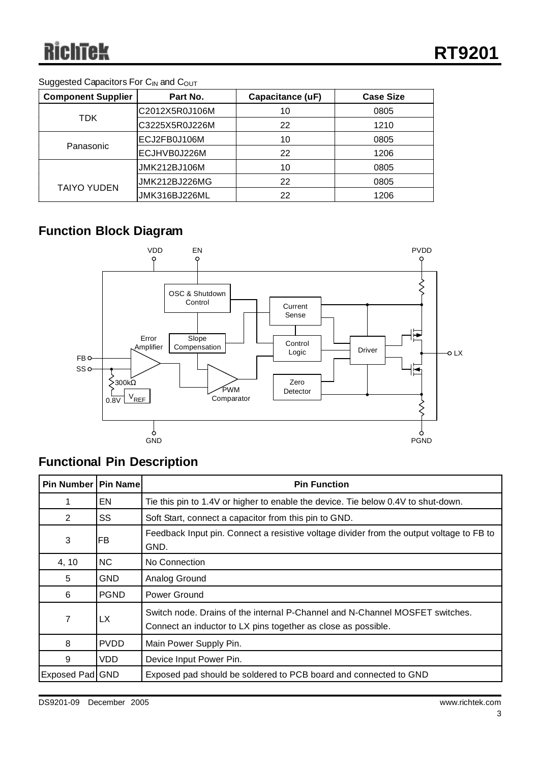## Suggested Capacitors For C<sub>IN</sub> and C<sub>OUT</sub>

| <b>Component Supplier</b> | Part No.       | Capacitance (uF)     | <b>Case Size</b> |
|---------------------------|----------------|----------------------|------------------|
|                           | C2012X5R0J106M | 10                   | 0805             |
| TDK.                      | C3225X5R0J226M | 22                   | 1210             |
|                           | ECJ2FB0J106M   | 10                   | 0805             |
| Panasonic                 | ECJHVB0J226M   | 22<br>10<br>22<br>22 | 1206             |
|                           | JMK212BJ106M   |                      | 0805             |
|                           | JMK212BJ226MG  |                      | 0805             |
| <b>TAIYO YUDEN</b>        | JMK316BJ226ML  |                      | 1206             |

# **Function Block Diagram**



# **Functional Pin Description**

| Pin Number   Pin Name |             | <b>Pin Function</b>                                                                                                                           |
|-----------------------|-------------|-----------------------------------------------------------------------------------------------------------------------------------------------|
|                       | EN          | Tie this pin to 1.4V or higher to enable the device. Tie below 0.4V to shut-down.                                                             |
| $\overline{2}$        | SS          | Soft Start, connect a capacitor from this pin to GND.                                                                                         |
| 3                     | FB          | Feedback Input pin. Connect a resistive voltage divider from the output voltage to FB to<br>GND.                                              |
| 4, 10                 | NC.         | No Connection                                                                                                                                 |
| 5                     | <b>GND</b>  | Analog Ground                                                                                                                                 |
| 6                     | <b>PGND</b> | Power Ground                                                                                                                                  |
| 7                     | <b>LX</b>   | Switch node. Drains of the internal P-Channel and N-Channel MOSFET switches.<br>Connect an inductor to LX pins together as close as possible. |
| 8                     | <b>PVDD</b> | Main Power Supply Pin.                                                                                                                        |
| 9                     | VDD         | Device Input Power Pin.                                                                                                                       |
| Exposed Pad GND       |             | Exposed pad should be soldered to PCB board and connected to GND                                                                              |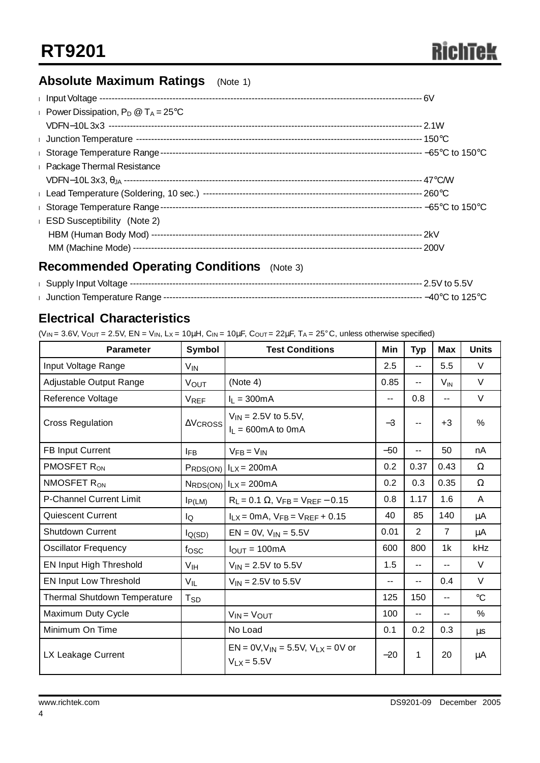# **Absolute Maximum Ratings** (Note 1)

| Power Dissipation, $P_D @ T_A = 25^{\circ}C$ |  |
|----------------------------------------------|--|
|                                              |  |
|                                              |  |
|                                              |  |
| <b>Package Thermal Resistance</b>            |  |
|                                              |  |
|                                              |  |
| Storage Temperature Range-                   |  |
| <b>ESD Susceptibility</b> (Note 2)           |  |
|                                              |  |
|                                              |  |

# **Recommended Operating Conditions** (Note 3)

# **Electrical Characteristics**

(V<sub>IN</sub> = 3.6V, V<sub>OUT</sub> = 2.5V, EN = V<sub>IN</sub>, L<sub>X</sub> = 10µH, C<sub>IN</sub> = 10µF, C<sub>OUT</sub> = 22µF, T<sub>A</sub> = 25°C, unless otherwise specified)

| <b>Parameter</b>                    | Symbol           | <b>Test Conditions</b>                                      | Min                      | <b>Typ</b>               | <b>Max</b>               | <b>Units</b> |
|-------------------------------------|------------------|-------------------------------------------------------------|--------------------------|--------------------------|--------------------------|--------------|
| Input Voltage Range                 | $V_{IN}$         |                                                             | 2.5                      | $-$                      | 5.5                      | $\vee$       |
| Adjustable Output Range             | <b>VOUT</b>      | (Note 4)                                                    | 0.85                     | $-$                      | $V_{\text{IN}}$          | $\vee$       |
| Reference Voltage                   | <b>VREF</b>      | $I_L = 300mA$                                               | $\overline{\phantom{a}}$ | 0.8                      | --                       | $\vee$       |
| <b>Cross Regulation</b>             | $\Delta V$ CROSS | $V_{IN} = 2.5V$ to 5.5V,<br>$I_L = 600 \text{mA}$ to 0mA    | $-3$                     |                          | $+3$                     | $\%$         |
| <b>FB Input Current</b>             | <b>IFB</b>       | $V_{FB} = V_{IN}$                                           | $-50$                    | --                       | 50                       | nA           |
| PMOSFET R <sub>ON</sub>             |                  | $P_{RDS(ON)}$ $I_{LX} = 200mA$                              | 0.2                      | 0.37                     | 0.43                     | Ω            |
| NMOSFET R <sub>ON</sub>             |                  | $N_{RDS(ON)}$ $I_{LX} = 200mA$                              | 0.2                      | 0.3                      | 0.35                     | Ω            |
| <b>P-Channel Current Limit</b>      | $I_{P(LM)}$      | $R_L = 0.1 \Omega$ , $V_{FB} = V_{REF} - 0.15$              | 0.8                      | 1.17                     | 1.6                      | A            |
| Quiescent Current                   | lQ               | $I_{LX}$ = 0mA, $V_{FB}$ = $V_{REF}$ + 0.15                 | 40                       | 85                       | 140                      | μA           |
| <b>Shutdown Current</b>             | $I_{Q(SD)}$      | $EN = 0V$ , $V_{IN} = 5.5V$                                 | 0.01                     | 2                        | $\overline{7}$           | μA           |
| Oscillator Frequency                | fosc             | $IQUT = 100mA$                                              | 600                      | 800                      | 1k                       | kHz          |
| EN Input High Threshold             | V <sub>IH</sub>  | $V_{IN} = 2.5V$ to 5.5V                                     | 1.5                      | $\overline{\phantom{a}}$ | $\overline{\phantom{a}}$ | V            |
| <b>EN Input Low Threshold</b>       | $V_{IL}$         | $V_{IN} = 2.5V$ to 5.5V                                     | --                       | --                       | 0.4                      | $\vee$       |
| <b>Thermal Shutdown Temperature</b> | $T_{SD}$         |                                                             | 125                      | 150                      | --                       | $^{\circ}C$  |
| Maximum Duty Cycle                  |                  | $V_{IN} = V_{OUT}$                                          | 100                      | --                       | ۰.                       | %            |
| Minimum On Time                     |                  | No Load                                                     | 0.1                      | 0.2                      | 0.3                      | μs           |
| LX Leakage Current                  |                  | $EN = 0V, V_{IN} = 5.5V, V_{LX} = 0V$ or<br>$V_{LX} = 5.5V$ | $-20$                    | 1                        | 20                       | μA           |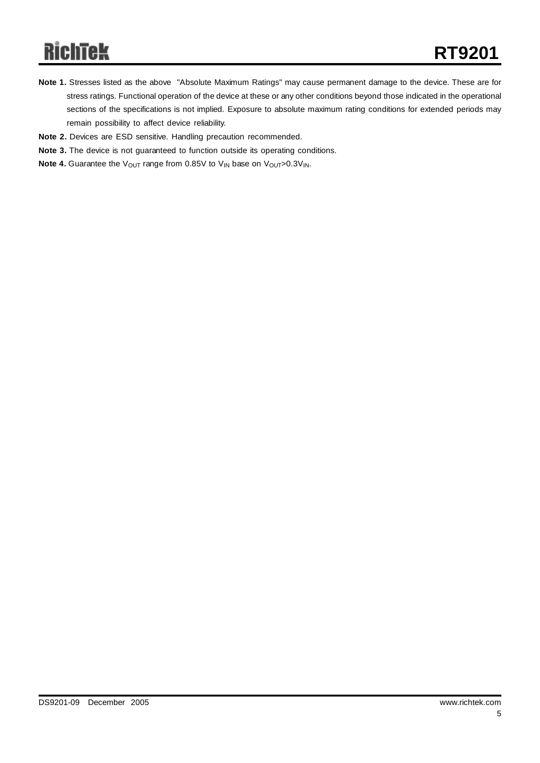# **RichTek**

- **Note 1.** Stresses listed as the above "Absolute Maximum Ratings" may cause permanent damage to the device. These are for stress ratings. Functional operation of the device at these or any other conditions beyond those indicated in the operational sections of the specifications is not implied. Exposure to absolute maximum rating conditions for extended periods may remain possibility to affect device reliability.
- **Note 2.** Devices are ESD sensitive. Handling precaution recommended.
- **Note 3.** The device is not guaranteed to function outside its operating conditions.
- **Note 4.** Guarantee the V<sub>OUT</sub> range from 0.85V to V<sub>IN</sub> base on V<sub>OUT</sub>>0.3V<sub>IN</sub>.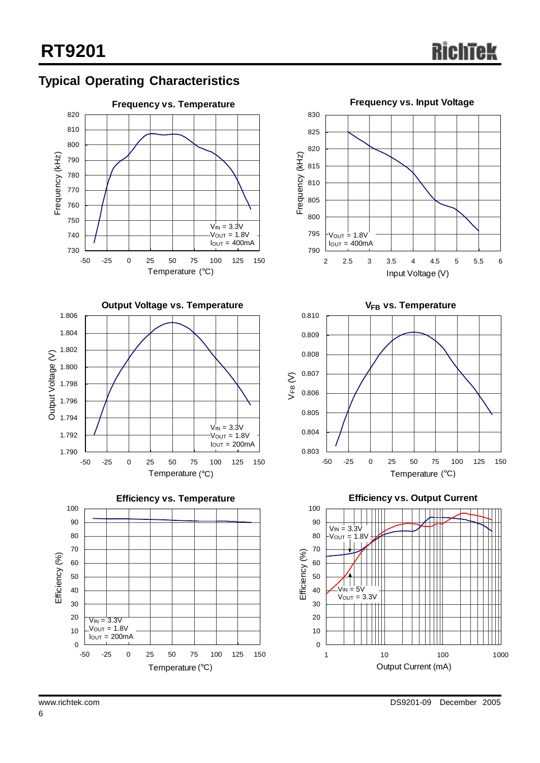













**Efficiency vs. Output Current**

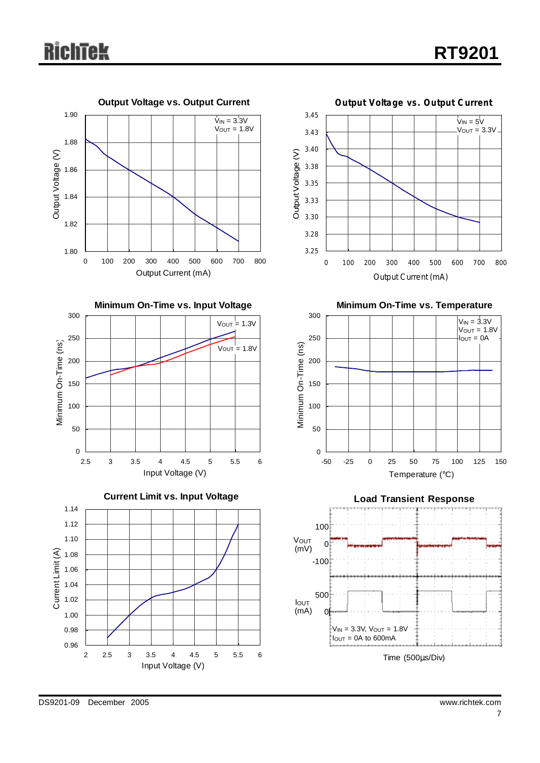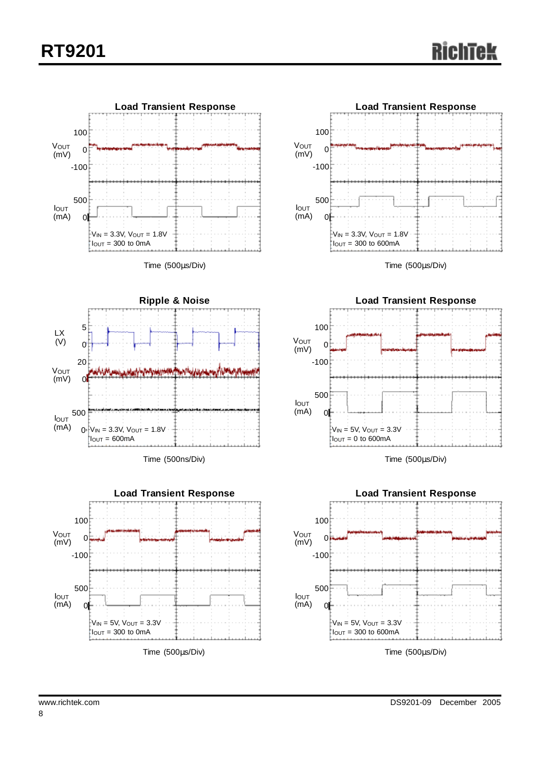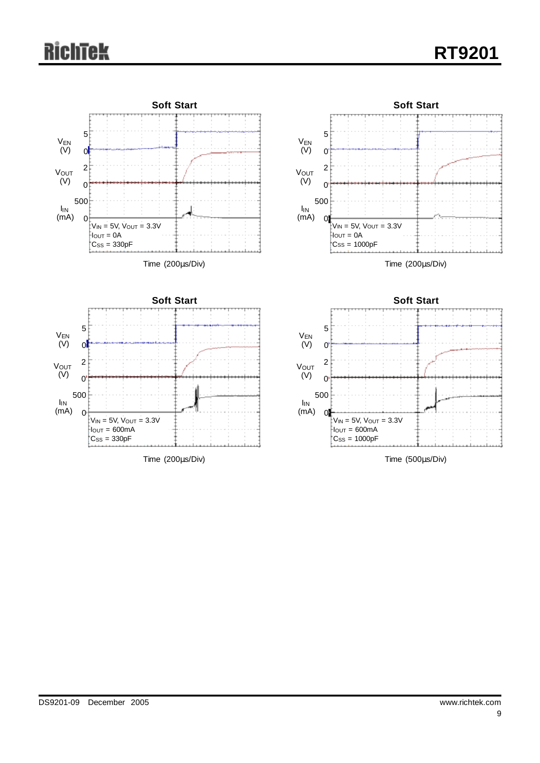# **RichTek**

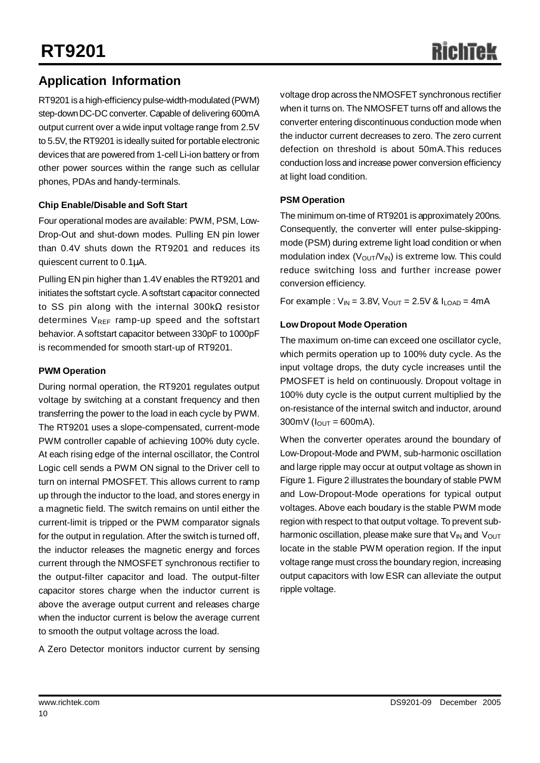# RichTe

# **Application Information**

RT9201 is a high-efficiency pulse-width-modulated (PWM) step-downDC-DC converter. Capable of delivering 600mA output current over a wide input voltage range from 2.5V to 5.5V, the RT9201 is ideally suited for portable electronic devices that are powered from 1-cell Li-ion battery or from other power sources within the range such as cellular phones, PDAs and handy-terminals.

### **Chip Enable/Disable and Soft Start**

Four operational modes are available: PWM, PSM, Low-Drop-Out and shut-down modes. Pulling EN pin lower than 0.4V shuts down the RT9201 and reduces its quiescent current to 0.1μA.

Pulling EN pin higher than 1.4V enables the RT9201 and initiates the softstart cycle. A softstart capacitor connected to SS pin along with the internal 300kΩ resistor determines  $V_{REF}$  ramp-up speed and the softstart behavior. Asoftstart capacitor between 330pF to 1000pF is recommended for smooth start-up of RT9201.

### **PWM Operation**

During normal operation, the RT9201 regulates output voltage by switching at a constant frequency and then transferring the power to the load in each cycle by PWM. The RT9201 uses a slope-compensated, current-mode PWM controller capable of achieving 100% duty cycle. At each rising edge of the internal oscillator, the Control Logic cell sends a PWM ON signal to the Driver cell to turn on internal PMOSFET. This allows current to ramp up through the inductor to the load, and stores energy in a magnetic field. The switch remains on until either the current-limit is tripped or the PWM comparator signals for the output in regulation. After the switch is turned off, the inductor releases the magnetic energy and forces current through the NMOSFET synchronous rectifier to the output-filter capacitor and load. The output-filter capacitor stores charge when the inductor current is above the average output current and releases charge when the inductor current is below the average current to smooth the output voltage across the load.

A Zero Detector monitors inductor current by sensing

voltage drop across theNMOSFET synchronous rectifier when it turns on. The NMOSFET turns off and allows the converter entering discontinuous conduction mode when the inductor current decreases to zero. The zero current defection on threshold is about 50mA.This reduces conduction loss and increase power conversion efficiency at light load condition.

### **PSM Operation**

The minimum on-time of RT9201 is approximately 200ns. Consequently, the converter will enter pulse-skippingmode (PSM) during extreme light load condition or when modulation index  $(V_{\text{OUT}}/V_{\text{IN}})$  is extreme low. This could reduce switching loss and further increase power conversion efficiency.

For example :  $V_{IN}$  = 3.8V,  $V_{OUT}$  = 2.5V &  $I_{LOAD}$  = 4mA

### **Low Dropout Mode Operation**

The maximum on-time can exceed one oscillator cycle, which permits operation up to 100% duty cycle. As the input voltage drops, the duty cycle increases until the PMOSFET is held on continuously. Dropout voltage in 100% duty cycle is the output current multiplied by the on-resistance of the internal switch and inductor, around  $300$ mV ( $I_{OUT} = 600$ mA).

When the converter operates around the boundary of Low-Dropout-Mode and PWM, sub-harmonic oscillation and large ripple may occur at output voltage as shown in Figure 1. Figure 2 illustrates the boundary of stable PWM and Low-Dropout-Mode operations for typical output voltages. Above each boudary is the stable PWM mode region with respect to that output voltage. To prevent subharmonic oscillation, please make sure that  $V_{IN}$  and  $V_{OUT}$ locate in the stable PWM operation region. If the input voltage range must cross the boundary region, increasing output capacitors with low ESR can alleviate the output ripple voltage.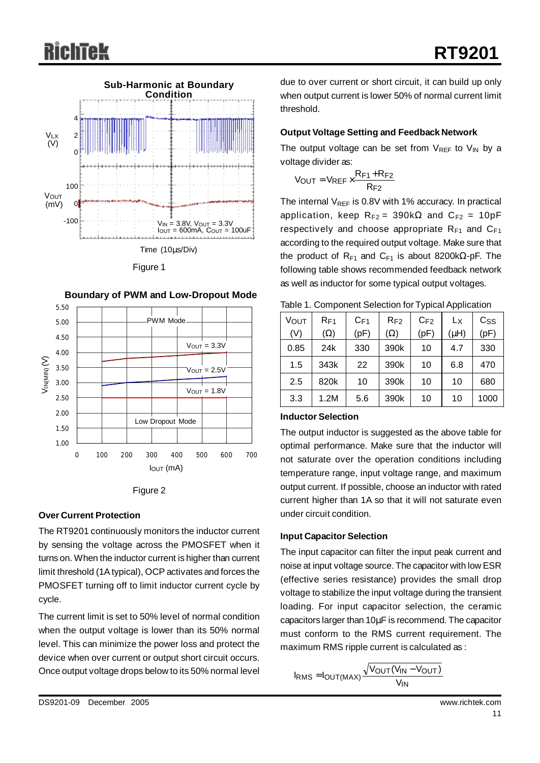

Figure 1





#### **Over Current Protection**

The RT9201 continuously monitors the inductor current by sensing the voltage across the PMOSFET when it turns on. When the inductor current is higher than current limit threshold (1Atypical), OCP activates and forces the PMOSFET turning off to limit inductor current cycle by cycle.

The current limit is set to 50% level of normal condition when the output voltage is lower than its 50% normal level. This can minimize the power loss and protect the device when over current or output short circuit occurs. Once output voltage drops below to its 50% normal level

due to over current or short circuit, it can build up only when output current is lower 50% of normal current limit threshold.

#### **Output Voltage Setting and Feedback Network**

The output voltage can be set from  $V_{REF}$  to  $V_{IN}$  by a voltage divider as:

$$
V_{OUT} = V_{REF} \times \frac{R_{F1} + R_{F2}}{R_{F2}}
$$

The internal  $V_{REF}$  is 0.8V with 1% accuracy. In practical application, keep  $R_{F2} = 390k\Omega$  and  $C_{F2} = 10pF$ respectively and choose appropriate  $R_{F1}$  and  $C_{F1}$ according to the required output voltage. Make sure that the product of R<sub>F1</sub> and C<sub>F1</sub> is about 8200kΩ-pF. The following table shows recommended feedback network as well as inductor for some typical output voltages.

| <b>VOUT</b> | $R_{\mathsf{F1}}$ | $C_{F1}$ | $R_{F2}$   | $C_{F2}$ | Lx        | $C_{SS}$ |
|-------------|-------------------|----------|------------|----------|-----------|----------|
| (V)         | $(\Omega)$        | (pF)     | $(\Omega)$ | (pF)     | $(\mu H)$ | (pF)     |
| 0.85        | 24k               | 330      | 390k       | 10       | 4.7       | 330      |
| 1.5         | 343k              | 22       | 390k       | 10       | 6.8       | 470      |
| 2.5         | 820k              | 10       | 390k       | 10       | 10        | 680      |
| 3.3         | 1.2M              | 5.6      | 390k       | 10       | 10        | 1000     |

Table 1. Component Selection for Typical Application

#### **Inductor Selection**

The output inductor is suggested as the above table for optimal performance. Make sure that the inductor will not saturate over the operation conditions including temperature range, input voltage range, and maximum output current. If possible, choose an inductor with rated current higher than 1A so that it will not saturate even under circuit condition.

#### **Input Capacitor Selection**

The input capacitor can filter the input peak current and noise at input voltage source. The capacitor with low ESR (effective series resistance) provides the small drop voltage to stabilize the input voltage during the transient loading. For input capacitor selection, the ceramic capacitors larger than 10μF is recommend. The capacitor must conform to the RMS current requirement. The maximum RMS ripple current is calculated as :

$$
I_{RMS} = I_{OUT(MAX)} \frac{\sqrt{V_{OUT}(V_{IN} - V_{OUT})}}{V_{IN}}
$$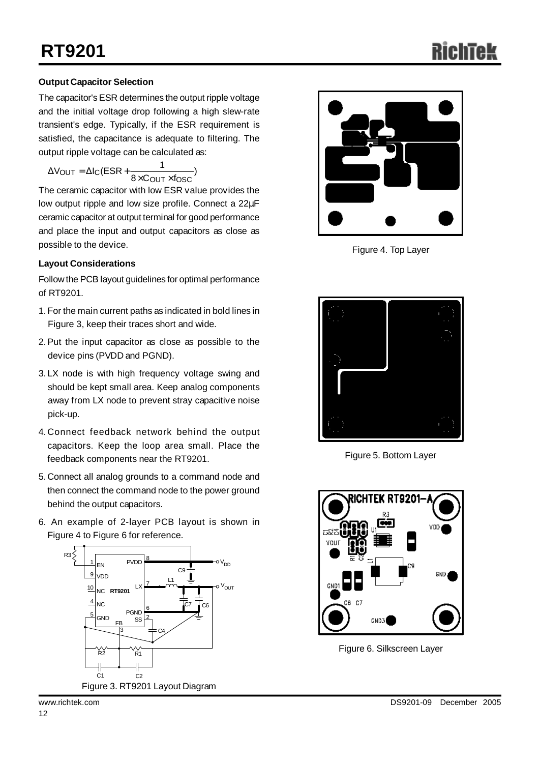## **Output Capacitor Selection**

The capacitor's ESR determines the output ripple voltage and the initial voltage drop following a high slew-rate transient's edge. Typically, if the ESR requirement is satisfied, the capacitance is adequate to filtering. The output ripple voltage can be calculated as:

$$
\Delta V_{OUT} = \Delta I_{C} (ESR + \frac{1}{8 \times C_{OUT} \times f_{OSC}})
$$

The ceramic capacitor with low ESR value provides the low output ripple and low size profile. Connect a 22μF ceramic capacitor at output terminal for good performance and place the input and output capacitors as close as possible to the device. The set of the device of the set of the set of the set of the set of the set of the set of the set of the set of the set of the set of the set of the set of the set of the set of the set of the set

#### **Layout Considerations**

Follow the PCB layout guidelines for optimal performance of RT9201.

- 1.For the main current paths as indicated in bold lines in Figure 3, keep their traces short and wide.
- 2.Put the input capacitor as close as possible to the device pins (PVDD and PGND).
- 3. LX node is with high frequency voltage swing and should be kept small area. Keep analog components away from LX node to prevent stray capacitive noise pick-up.
- 4. Connect feedback network behind the output capacitors. Keep the loop area small. Place the feedback components near the RT9201.
- 5. Connect all analog grounds to a command node and then connect the command node to the power ground behind the output capacitors.
- 6. An example of 2-layer PCB layout is shown in Figure 4 to Figure 6 for reference.







Figure 5. Bottom Layer



Figure 6. Silkscreen Layer